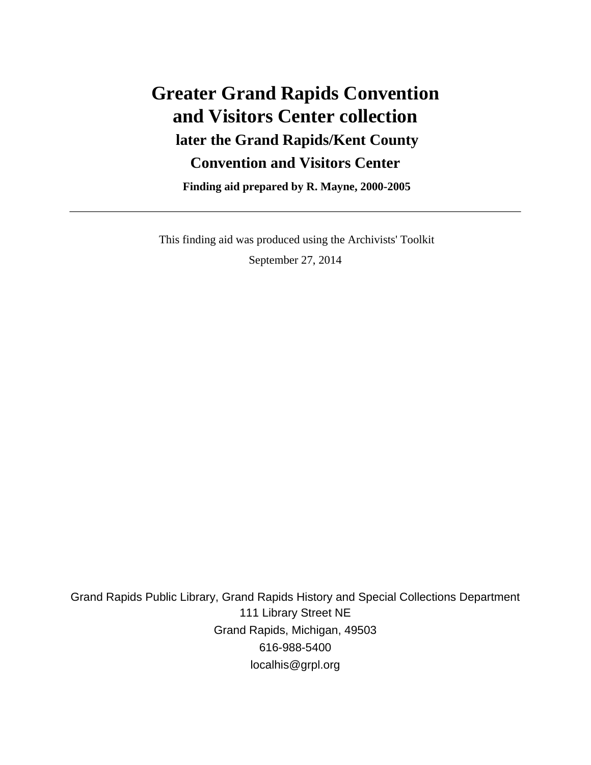# **Greater Grand Rapids Convention and Visitors Center collection later the Grand Rapids/Kent County Convention and Visitors Center**

 **Finding aid prepared by R. Mayne, 2000-2005**

 This finding aid was produced using the Archivists' Toolkit September 27, 2014

Grand Rapids Public Library, Grand Rapids History and Special Collections Department 111 Library Street NE Grand Rapids, Michigan, 49503 616-988-5400 localhis@grpl.org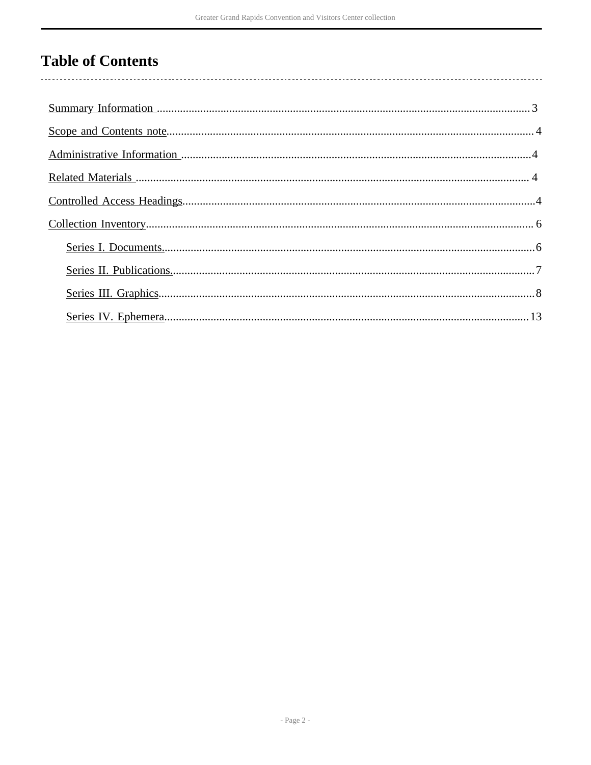## **Table of Contents**

 $\overline{\phantom{a}}$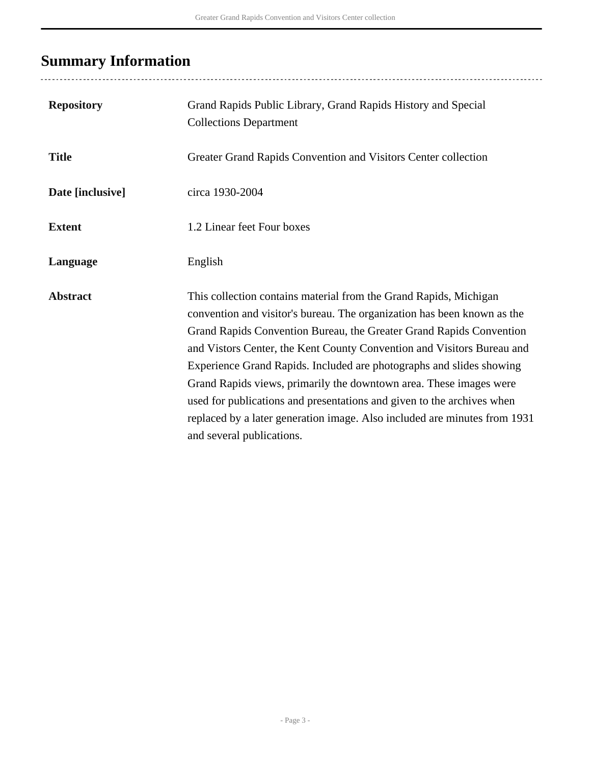## <span id="page-2-0"></span>**Summary Information**

| <b>Repository</b> | Grand Rapids Public Library, Grand Rapids History and Special<br><b>Collections Department</b>                                                                                                                                                                                                                                                                                                                                                                                                                                                                                                                                  |
|-------------------|---------------------------------------------------------------------------------------------------------------------------------------------------------------------------------------------------------------------------------------------------------------------------------------------------------------------------------------------------------------------------------------------------------------------------------------------------------------------------------------------------------------------------------------------------------------------------------------------------------------------------------|
| <b>Title</b>      | Greater Grand Rapids Convention and Visitors Center collection                                                                                                                                                                                                                                                                                                                                                                                                                                                                                                                                                                  |
| Date [inclusive]  | circa 1930-2004                                                                                                                                                                                                                                                                                                                                                                                                                                                                                                                                                                                                                 |
| <b>Extent</b>     | 1.2 Linear feet Four boxes                                                                                                                                                                                                                                                                                                                                                                                                                                                                                                                                                                                                      |
| Language          | English                                                                                                                                                                                                                                                                                                                                                                                                                                                                                                                                                                                                                         |
| <b>Abstract</b>   | This collection contains material from the Grand Rapids, Michigan<br>convention and visitor's bureau. The organization has been known as the<br>Grand Rapids Convention Bureau, the Greater Grand Rapids Convention<br>and Vistors Center, the Kent County Convention and Visitors Bureau and<br>Experience Grand Rapids. Included are photographs and slides showing<br>Grand Rapids views, primarily the downtown area. These images were<br>used for publications and presentations and given to the archives when<br>replaced by a later generation image. Also included are minutes from 1931<br>and several publications. |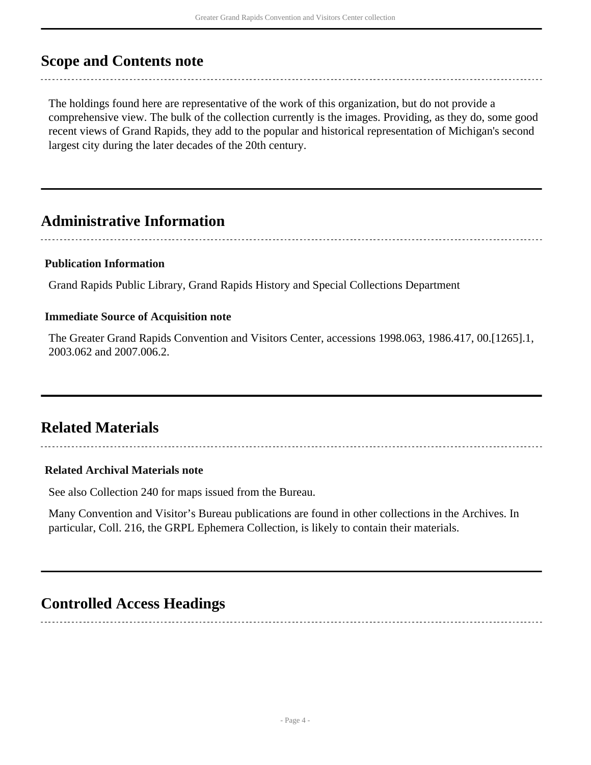### <span id="page-3-0"></span>**Scope and Contents note**

The holdings found here are representative of the work of this organization, but do not provide a comprehensive view. The bulk of the collection currently is the images. Providing, as they do, some good recent views of Grand Rapids, they add to the popular and historical representation of Michigan's second largest city during the later decades of the 20th century.

### <span id="page-3-1"></span>**Administrative Information**

### **Publication Information**

Grand Rapids Public Library, Grand Rapids History and Special Collections Department

### **Immediate Source of Acquisition note**

The Greater Grand Rapids Convention and Visitors Center, accessions 1998.063, 1986.417, 00.[1265].1, 2003.062 and 2007.006.2.

### <span id="page-3-2"></span>**Related Materials**

### **Related Archival Materials note**

See also Collection 240 for maps issued from the Bureau.

Many Convention and Visitor's Bureau publications are found in other collections in the Archives. In particular, Coll. 216, the GRPL Ephemera Collection, is likely to contain their materials.

### <span id="page-3-3"></span>**Controlled Access Headings**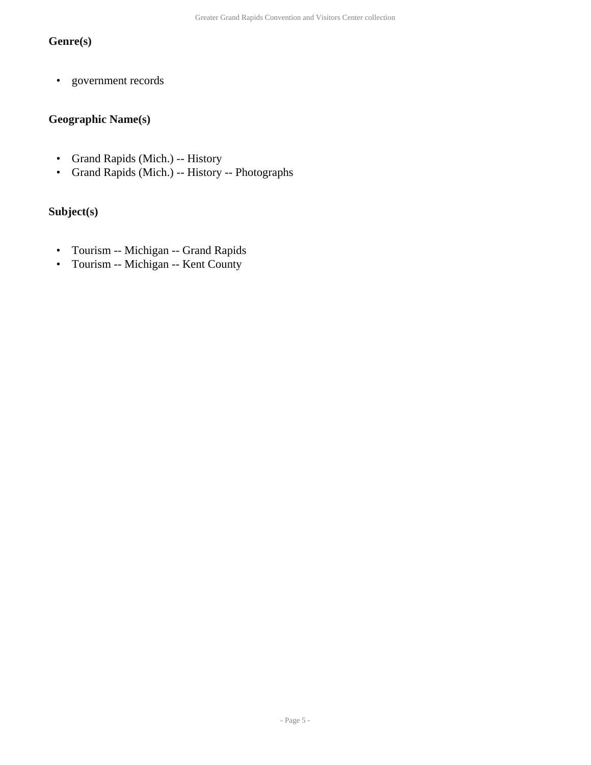### **Genre(s)**

• government records

### **Geographic Name(s)**

- Grand Rapids (Mich.) -- History
- Grand Rapids (Mich.) -- History -- Photographs

### **Subject(s)**

- Tourism -- Michigan -- Grand Rapids
- Tourism -- Michigan -- Kent County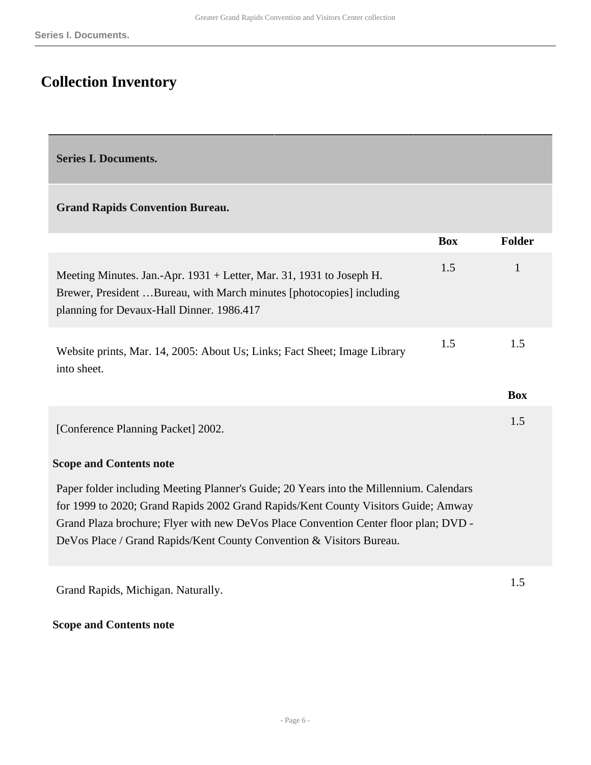### <span id="page-5-0"></span>**Collection Inventory**

<span id="page-5-1"></span>**Series I. Documents.** 

#### **Grand Rapids Convention Bureau.**

|                                                                                                                                                                                           | <b>Box</b> | Folder            |
|-------------------------------------------------------------------------------------------------------------------------------------------------------------------------------------------|------------|-------------------|
| Meeting Minutes. Jan.-Apr. 1931 + Letter, Mar. 31, 1931 to Joseph H.<br>Brewer, President Bureau, with March minutes [photocopies] including<br>planning for Devaux-Hall Dinner. 1986.417 | 1.5        |                   |
| Website prints, Mar. 14, 2005: About Us; Links; Fact Sheet; Image Library<br>into sheet.                                                                                                  | 1.5        | 1.5<br><b>Box</b> |
| [Conference Planning Packet] 2002.                                                                                                                                                        |            | 1.5               |

#### **Scope and Contents note**

Paper folder including Meeting Planner's Guide; 20 Years into the Millennium. Calendars for 1999 to 2020; Grand Rapids 2002 Grand Rapids/Kent County Visitors Guide; Amway Grand Plaza brochure; Flyer with new DeVos Place Convention Center floor plan; DVD - DeVos Place / Grand Rapids/Kent County Convention & Visitors Bureau.

Grand Rapids, Michigan. Naturally.

#### **Scope and Contents note**

1.5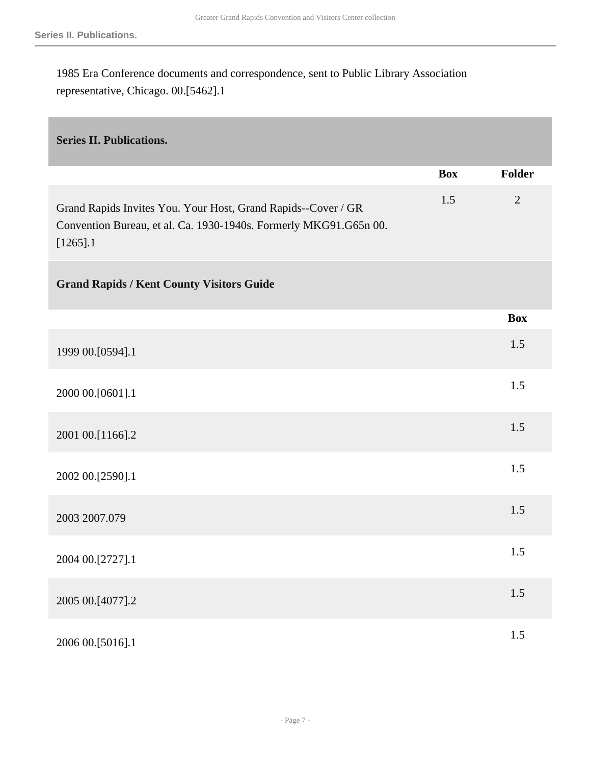1985 Era Conference documents and correspondence, sent to Public Library Association representative, Chicago. 00.[5462].1

### <span id="page-6-0"></span>**Series II. Publications.**

|                                                                                                                                                   | <b>Box</b> | <b>Folder</b>  |
|---------------------------------------------------------------------------------------------------------------------------------------------------|------------|----------------|
| Grand Rapids Invites You. Your Host, Grand Rapids--Cover / GR<br>Convention Bureau, et al. Ca. 1930-1940s. Formerly MKG91.G65n 00.<br>$[1265]$ .1 | 1.5        | $\overline{2}$ |
| <b>Grand Rapids / Kent County Visitors Guide</b>                                                                                                  |            |                |
|                                                                                                                                                   |            | <b>Box</b>     |
| 1999 00.[0594].1                                                                                                                                  |            | 1.5            |
| 2000 00.[0601].1                                                                                                                                  |            | 1.5            |
| 2001 00.[1166].2                                                                                                                                  |            | 1.5            |
| 2002 00.[2590].1                                                                                                                                  |            | 1.5            |
| 2003 2007.079                                                                                                                                     |            | 1.5            |
| 2004 00.[2727].1                                                                                                                                  |            | 1.5            |
| 2005 00.[4077].2                                                                                                                                  |            | 1.5            |
| 2006 00.[5016].1                                                                                                                                  |            | 1.5            |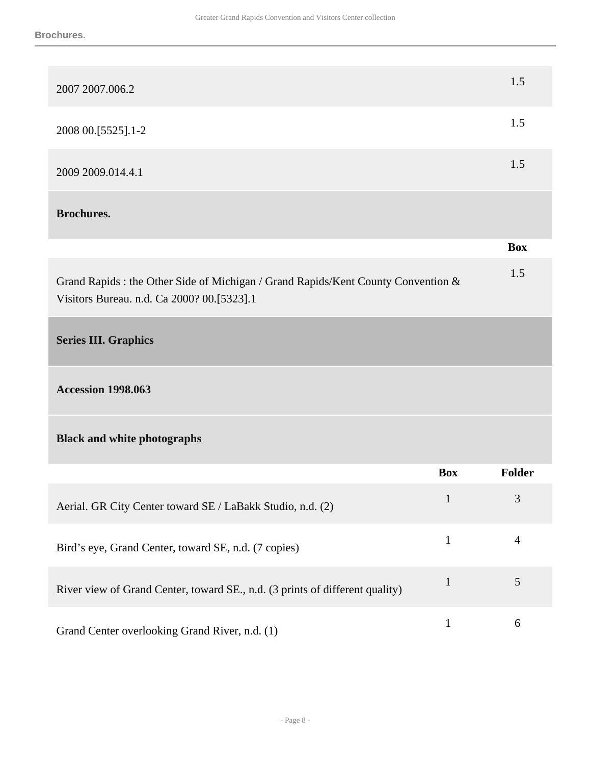<span id="page-7-0"></span>

| 2007 2007 006.2                                                                                                                 |              | 1.5            |
|---------------------------------------------------------------------------------------------------------------------------------|--------------|----------------|
| 2008 00.[5525].1-2                                                                                                              |              | 1.5            |
| 2009 2009 014.4.1                                                                                                               |              | 1.5            |
| <b>Brochures.</b>                                                                                                               |              |                |
|                                                                                                                                 |              | <b>Box</b>     |
| Grand Rapids : the Other Side of Michigan / Grand Rapids/Kent County Convention &<br>Visitors Bureau. n.d. Ca 2000? 00.[5323].1 |              | 1.5            |
| <b>Series III. Graphics</b>                                                                                                     |              |                |
| <b>Accession 1998.063</b>                                                                                                       |              |                |
| <b>Black and white photographs</b>                                                                                              |              |                |
|                                                                                                                                 | <b>Box</b>   | Folder         |
| Aerial. GR City Center toward SE / LaBakk Studio, n.d. (2)                                                                      | $\mathbf{1}$ | $\mathfrak{Z}$ |
| Bird's eye, Grand Center, toward SE, n.d. (7 copies)                                                                            | $\mathbf{1}$ | 4              |
| River view of Grand Center, toward SE., n.d. (3 prints of different quality)                                                    | $\mathbf{1}$ | 5              |
| Grand Center overlooking Grand River, n.d. (1)                                                                                  | $\mathbf{1}$ | 6              |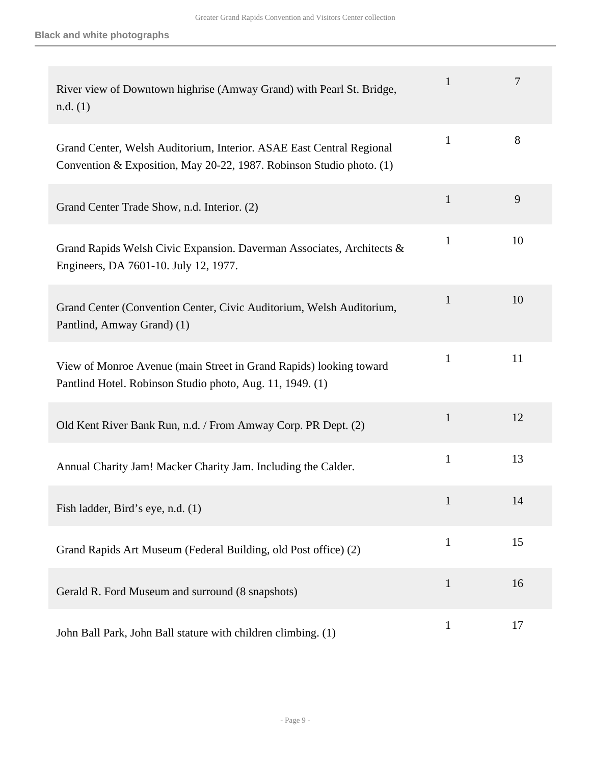| River view of Downtown highrise (Amway Grand) with Pearl St. Bridge,<br>n.d. (1)                                                             | 1            | 7  |
|----------------------------------------------------------------------------------------------------------------------------------------------|--------------|----|
| Grand Center, Welsh Auditorium, Interior. ASAE East Central Regional<br>Convention & Exposition, May 20-22, 1987. Robinson Studio photo. (1) | $\mathbf{1}$ | 8  |
| Grand Center Trade Show, n.d. Interior. (2)                                                                                                  | 1            | 9  |
| Grand Rapids Welsh Civic Expansion. Daverman Associates, Architects &<br>Engineers, DA 7601-10. July 12, 1977.                               | 1            | 10 |
| Grand Center (Convention Center, Civic Auditorium, Welsh Auditorium,<br>Pantlind, Amway Grand) (1)                                           | 1            | 10 |
| View of Monroe Avenue (main Street in Grand Rapids) looking toward<br>Pantlind Hotel. Robinson Studio photo, Aug. 11, 1949. (1)              | $\mathbf{1}$ | 11 |
| Old Kent River Bank Run, n.d. / From Amway Corp. PR Dept. (2)                                                                                | 1            | 12 |
| Annual Charity Jam! Macker Charity Jam. Including the Calder.                                                                                | $\mathbf{1}$ | 13 |
| Fish ladder, Bird's eye, n.d. (1)                                                                                                            | $\mathbf{1}$ | 14 |
| Grand Rapids Art Museum (Federal Building, old Post office) (2)                                                                              | $\mathbf{1}$ | 15 |
| Gerald R. Ford Museum and surround (8 snapshots)                                                                                             | $\mathbf{1}$ | 16 |
| John Ball Park, John Ball stature with children climbing. (1)                                                                                | $\mathbf{1}$ | 17 |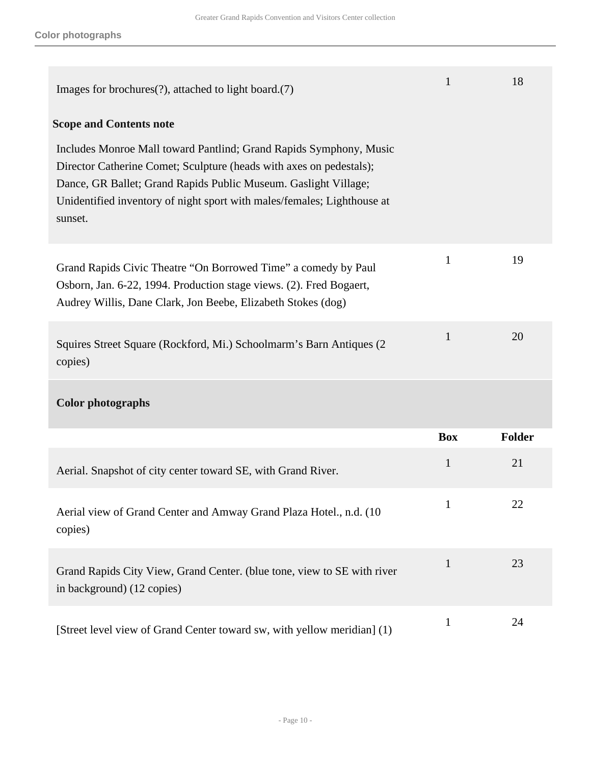| Images for brochures $(?)$ , attached to light board. $(7)$                                                                                                                                                                                                                                        | $\mathbf{1}$ | 18            |
|----------------------------------------------------------------------------------------------------------------------------------------------------------------------------------------------------------------------------------------------------------------------------------------------------|--------------|---------------|
| <b>Scope and Contents note</b>                                                                                                                                                                                                                                                                     |              |               |
| Includes Monroe Mall toward Pantlind; Grand Rapids Symphony, Music<br>Director Catherine Comet; Sculpture (heads with axes on pedestals);<br>Dance, GR Ballet; Grand Rapids Public Museum. Gaslight Village;<br>Unidentified inventory of night sport with males/females; Lighthouse at<br>sunset. |              |               |
| Grand Rapids Civic Theatre "On Borrowed Time" a comedy by Paul<br>Osborn, Jan. 6-22, 1994. Production stage views. (2). Fred Bogaert,<br>Audrey Willis, Dane Clark, Jon Beebe, Elizabeth Stokes (dog)                                                                                              | $\mathbf{1}$ | 19            |
| Squires Street Square (Rockford, Mi.) Schoolmarm's Barn Antiques (2)<br>copies)                                                                                                                                                                                                                    | $\mathbf{1}$ | 20            |
| <b>Color photographs</b>                                                                                                                                                                                                                                                                           |              |               |
|                                                                                                                                                                                                                                                                                                    | <b>Box</b>   | <b>Folder</b> |
| Aerial. Snapshot of city center toward SE, with Grand River.                                                                                                                                                                                                                                       | $\mathbf{1}$ | 21            |
| Aerial view of Grand Center and Amway Grand Plaza Hotel., n.d. (10<br>copies)                                                                                                                                                                                                                      | $\mathbf{1}$ | 22            |
| Grand Rapids City View, Grand Center. (blue tone, view to SE with river<br>in background) (12 copies)                                                                                                                                                                                              | $\mathbf{1}$ | 23            |
| [Street level view of Grand Center toward sw, with yellow meridian] (1)                                                                                                                                                                                                                            | $\mathbf{1}$ | 24            |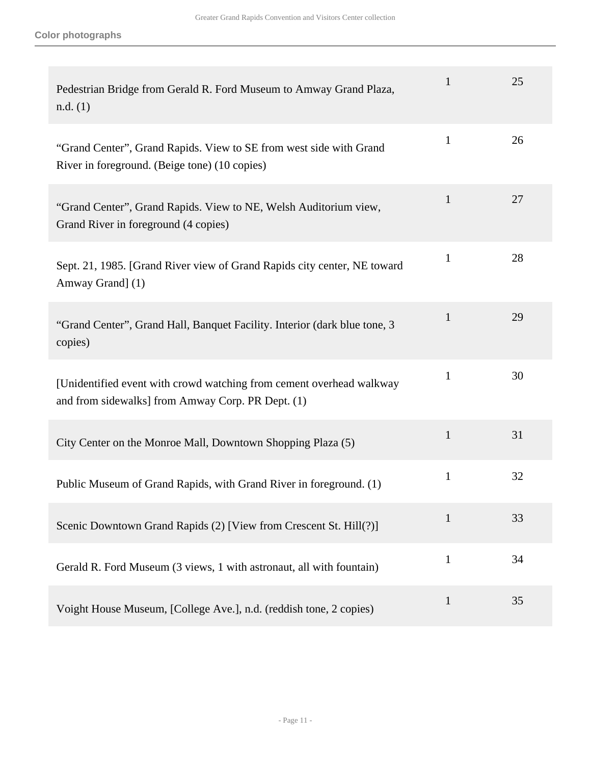| Pedestrian Bridge from Gerald R. Ford Museum to Amway Grand Plaza,<br>n.d. (1)                                            | $\mathbf{1}$ | 25 |
|---------------------------------------------------------------------------------------------------------------------------|--------------|----|
| "Grand Center", Grand Rapids. View to SE from west side with Grand<br>River in foreground. (Beige tone) (10 copies)       | $\mathbf{1}$ | 26 |
| "Grand Center", Grand Rapids. View to NE, Welsh Auditorium view,<br>Grand River in foreground (4 copies)                  | $\mathbf{1}$ | 27 |
| Sept. 21, 1985. [Grand River view of Grand Rapids city center, NE toward<br>Amway Grand] (1)                              | $\mathbf{1}$ | 28 |
| "Grand Center", Grand Hall, Banquet Facility. Interior (dark blue tone, 3<br>copies)                                      | $\mathbf{1}$ | 29 |
| [Unidentified event with crowd watching from cement overhead walkway<br>and from sidewalks] from Amway Corp. PR Dept. (1) | $\mathbf{1}$ | 30 |
| City Center on the Monroe Mall, Downtown Shopping Plaza (5)                                                               | $\mathbf{1}$ | 31 |
| Public Museum of Grand Rapids, with Grand River in foreground. (1)                                                        | $\mathbf{1}$ | 32 |
| Scenic Downtown Grand Rapids (2) [View from Crescent St. Hill(?)]                                                         | $\mathbf{1}$ | 33 |
| Gerald R. Ford Museum (3 views, 1 with astronaut, all with fountain)                                                      | $\mathbf{1}$ | 34 |
| Voight House Museum, [College Ave.], n.d. (reddish tone, 2 copies)                                                        | $\mathbf{1}$ | 35 |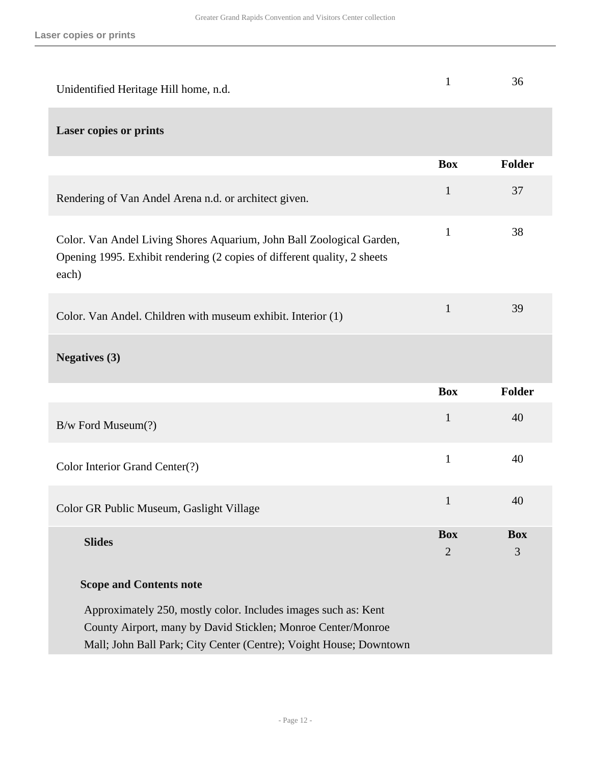| Unidentified Heritage Hill home, n.d.                                                                                                                                                                | $\mathbf{1}$                 | 36              |
|------------------------------------------------------------------------------------------------------------------------------------------------------------------------------------------------------|------------------------------|-----------------|
| <b>Laser copies or prints</b>                                                                                                                                                                        |                              |                 |
|                                                                                                                                                                                                      | <b>Box</b>                   | Folder          |
| Rendering of Van Andel Arena n.d. or architect given.                                                                                                                                                | $\mathbf{1}$                 | 37              |
| Color. Van Andel Living Shores Aquarium, John Ball Zoological Garden,<br>Opening 1995. Exhibit rendering (2 copies of different quality, 2 sheets<br>each)                                           | $\mathbf{1}$                 | 38              |
| Color. Van Andel. Children with museum exhibit. Interior (1)                                                                                                                                         | $\mathbf{1}$                 | 39              |
| <b>Negatives (3)</b>                                                                                                                                                                                 |                              |                 |
|                                                                                                                                                                                                      | <b>Box</b>                   | Folder          |
| B/w Ford Museum(?)                                                                                                                                                                                   | $\mathbf{1}$                 | 40              |
| Color Interior Grand Center(?)                                                                                                                                                                       | 1                            | 40              |
| Color GR Public Museum, Gaslight Village                                                                                                                                                             | $\mathbf{1}$                 | 40              |
| <b>Slides</b>                                                                                                                                                                                        | <b>Box</b><br>$\overline{2}$ | <b>Box</b><br>3 |
| <b>Scope and Contents note</b>                                                                                                                                                                       |                              |                 |
| Approximately 250, mostly color. Includes images such as: Kent<br>County Airport, many by David Sticklen; Monroe Center/Monroe<br>Mall; John Ball Park; City Center (Centre); Voight House; Downtown |                              |                 |